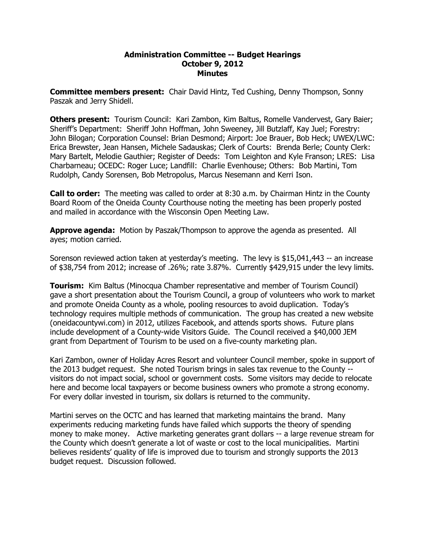#### **Administration Committee Budget Hearings October 9, 2012 Minutes**

**Committee members present:**  Chair David Hintz, Ted Cushing, Denny Thompson, Sonny Paszak and Jerry Shidell.

**Others present:**  Tourism Council: Kari Zambon, Kim Baltus, Romelle Vandervest, Gary Baier; Sheriff's Department: Sheriff John Hoffman, John Sweeney, Jill Butzlaff, Kay Juel; Forestry: John Bilogan; Corporation Counsel: Brian Desmond; Airport: Joe Brauer, Bob Heck; UWEX/LWC: Erica Brewster, Jean Hansen, Michele Sadauskas; Clerk of Courts: Brenda Berle; County Clerk: Mary Bartelt, Melodie Gauthier; Register of Deeds: Tom Leighton and Kyle Franson; LRES: Lisa Charbarneau; OCEDC: Roger Luce; Landfill: Charlie Evenhouse; Others: Bob Martini, Tom Rudolph, Candy Sorensen, Bob Metropolus, Marcus Nesemann and Kerri Ison.

**Call to order:**  The meeting was called to order at 8:30 a.m. by Chairman Hintz in the County Board Room of the Oneida County Courthouse noting the meeting has been properly posted and mailed in accordance with the Wisconsin Open Meeting Law.

**Approve agenda:** Motion by Paszak/Thompson to approve the agenda as presented. All ayes; motion carried.

Sorenson reviewed action taken at yesterday's meeting. The levy is  $$15,041,443$  -- an increase of \$38,754 from 2012; increase of .26%; rate 3.87%. Currently \$429,915 under the levy limits.

**Tourism:** Kim Baltus (Minocqua Chamber representative and member of Tourism Council) gave a short presentation about the Tourism Council, a group of volunteers who work to market and promote Oneida County as a whole, pooling resources to avoid duplication. Today's technology requires multiple methods of communication. The group has created a new website (oneidacountywi.com) in 2012, utilizes Facebook, and attends sports shows. Future plans include development of a County-wide Visitors Guide. The Council received a \$40,000 JEM grant from Department of Tourism to be used on a five-county marketing plan.

Kari Zambon, owner of Holiday Acres Resort and volunteer Council member, spoke in support of the 2013 budget request. She noted Tourism brings in sales tax revenue to the County visitors do not impact social, school or government costs. Some visitors may decide to relocate here and become local taxpayers or become business owners who promote a strong economy. For every dollar invested in tourism, six dollars is returned to the community.

Martini serves on the OCTC and has learned that marketing maintains the brand. Many experiments reducing marketing funds have failed which supports the theory of spending money to make money. Active marketing generates grant dollars -- a large revenue stream for the County which doesn't generate a lot of waste or cost to the local municipalities. Martini believes residents' quality of life is improved due to tourism and strongly supports the 2013 budget request. Discussion followed.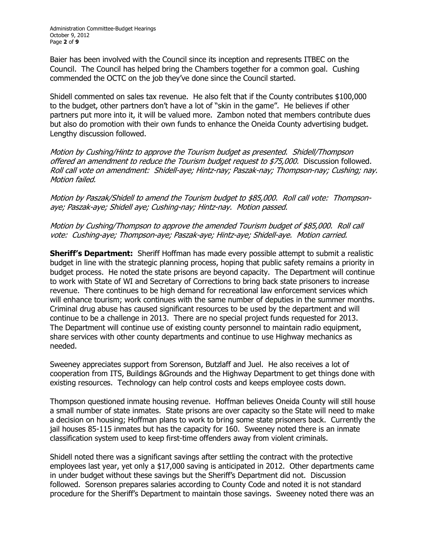Baier has been involved with the Council since its inception and represents ITBEC on the Council. The Council has helped bring the Chambers together for a common goal. Cushing commended the OCTC on the job they've done since the Council started.

Shidell commented on sales tax revenue. He also felt that if the County contributes \$100,000 to the budget, other partners don't have a lot of "skin in the game". He believes if other partners put more into it, it will be valued more. Zambon noted that members contribute dues but also do promotion with their own funds to enhance the Oneida County advertising budget. Lengthy discussion followed.

Motion by Cushing/Hintz to approve the Tourism budget as presented. Shidell/Thompson offered an amendment to reduce the Tourism budget request to \$75,000. Discussion followed. Roll call vote on amendment: Shidell-aye; Hintz-nay; Paszak-nay; Thompson-nay; Cushing; nay. Motion failed.

Motion by Paszak/Shidell to amend the Tourism budget to \$85,000. Roll call vote: Thompson aye; Paszak-aye; Shidell aye; Cushing-nay; Hintz-nay. Motion passed.

Motion by Cushing/Thompson to approve the amended Tourism budget of \$85,000. Roll call vote: Cushing-aye; Thompson-aye; Paszak-aye; Hintz-aye; Shidell-aye. Motion carried.

**Sheriff's Department:**  Sheriff Hoffman has made every possible attempt to submit a realistic budget in line with the strategic planning process, hoping that public safety remains a priority in budget process. He noted the state prisons are beyond capacity. The Department will continue to work with State of WI and Secretary of Corrections to bring back state prisoners to increase revenue. There continues to be high demand for recreational law enforcement services which will enhance tourism; work continues with the same number of deputies in the summer months. Criminal drug abuse has caused significant resources to be used by the department and will continue to be a challenge in 2013. There are no special project funds requested for 2013. The Department will continue use of existing county personnel to maintain radio equipment, share services with other county departments and continue to use Highway mechanics as needed.

Sweeney appreciates support from Sorenson, Butzlaff and Juel. He also receives a lot of cooperation from ITS, Buildings &Grounds and the Highway Department to get things done with existing resources. Technology can help control costs and keeps employee costs down.

Thompson questioned inmate housing revenue. Hoffman believes Oneida County will still house a small number of state inmates. State prisons are over capacity so the State will need to make a decision on housing; Hoffman plans to work to bring some state prisoners back. Currently the jail houses 85-115 inmates but has the capacity for 160. Sweeney noted there is an inmate classification system used to keep first-time offenders away from violent criminals.

Shidell noted there was a significant savings after settling the contract with the protective employees last year, yet only a \$17,000 saving is anticipated in 2012. Other departments came in under budget without these savings but the Sheriff's Department did not. Discussion followed. Sorenson prepares salaries according to County Code and noted it is not standard procedure for the Sheriff's Department to maintain those savings. Sweeney noted there was an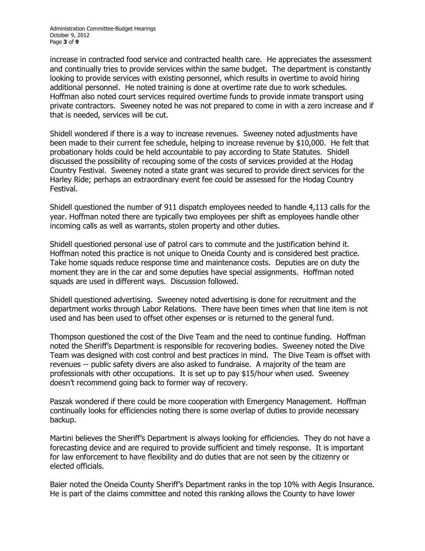increase in contracted food service and contracted health care. He appreciates the assessment and continually tries to provide services within the same budget. The department is constantly looking to provide services with existing personnel, which results in overtime to avoid hiring additional personnel. He noted training is done at overtime rate due to work schedules. Hoffman also noted court services required overtime funds to provide inmate transport using private contractors. Sweeney noted he was not prepared to come in with a zero increase and if that is needed, services will be cut.

Shidell wondered if there is a way to increase revenues. Sweeney noted adjustments have been made to their current fee schedule, helping to increase revenue by \$10,000. He felt that probationary holds could be held accountable to pay according to State Statutes. Shidell discussed the possibility of recouping some of the costs of services provided at the Hodag Country Festival. Sweeney noted a state grant was secured to provide direct services for the Harley Ride; perhaps an extraordinary event fee could be assessed for the Hodag Country Festival.

Shidell questioned the number of 911 dispatch employees needed to handle 4,113 calls for the year. Hoffman noted there are typically two employees per shift as employees handle other incoming calls as well as warrants, stolen property and other duties.

Shidell questioned personal use of patrol cars to commute and the justification behind it. Hoffman noted this practice is not unique to Oneida County and is considered best practice. Take home squads reduce response time and maintenance costs. Deputies are on duty the moment they are in the car and some deputies have special assignments. Hoffman noted squads are used in different ways. Discussion followed.

Shidell questioned advertising. Sweeney noted advertising is done for recruitment and the department works through Labor Relations. There have been times when that line item is not used and has been used to offset other expenses or is returned to the general fund.

Thompson questioned the cost of the Dive Team and the need to continue funding. Hoffman noted the Sheriff's Department is responsible for recovering bodies. Sweeney noted the Dive Team was designed with cost control and best practices in mind. The Dive Team is offset with revenues -- public safety divers are also asked to fundraise. A majority of the team are professionals with other occupations. It is set up to pay \$15/hour when used. Sweeney doesn't recommend going back to former way of recovery.

Paszak wondered if there could be more cooperation with Emergency Management. Hoffman continually looks for efficiencies noting there is some overlap of duties to provide necessary backup.

Martini believes the Sheriff's Department is always looking for efficiencies. They do not have a forecasting device and are required to provide sufficient and timely response. It is important for law enforcement to have flexibility and do duties that are not seen by the citizenry or elected officials.

Baier noted the Oneida County Sheriff's Department ranks in the top 10% with Aegis Insurance. He is part of the claims committee and noted this ranking allows the County to have lower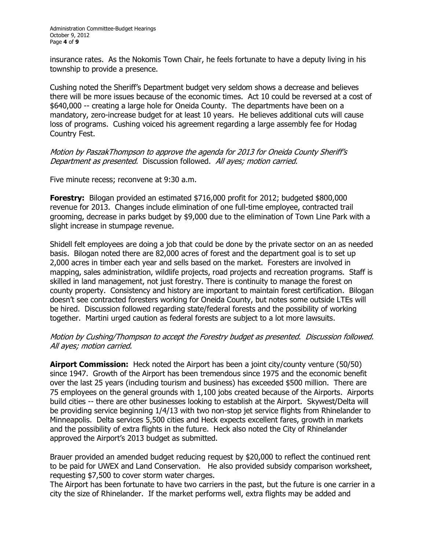insurance rates. As the Nokomis Town Chair, he feels fortunate to have a deputy living in his township to provide a presence.

Cushing noted the Sheriff's Department budget very seldom shows a decrease and believes there will be more issues because of the economic times. Act 10 could be reversed at a cost of \$640,000 -- creating a large hole for Oneida County. The departments have been on a mandatory, zero-increase budget for at least 10 years. He believes additional cuts will cause loss of programs. Cushing voiced his agreement regarding a large assembly fee for Hodag Country Fest.

Motion by PaszakThompson to approve the agenda for 2013 for Oneida County Sheriff's Department as presented. Discussion followed. All ayes; motion carried.

Five minute recess; reconvene at 9:30 a.m.

**Forestry:** Bilogan provided an estimated \$716,000 profit for 2012; budgeted \$800,000 revenue for 2013. Changes include elimination of one full-time employee, contracted trail grooming, decrease in parks budget by \$9,000 due to the elimination of Town Line Park with a slight increase in stumpage revenue.

Shidell felt employees are doing a job that could be done by the private sector on an as needed basis. Bilogan noted there are 82,000 acres of forest and the department goal is to set up 2,000 acres in timber each year and sells based on the market. Foresters are involved in mapping, sales administration, wildlife projects, road projects and recreation programs. Staff is skilled in land management, not just forestry. There is continuity to manage the forest on county property. Consistency and history are important to maintain forest certification. Bilogan doesn't see contracted foresters working for Oneida County, but notes some outside LTEs will be hired. Discussion followed regarding state/federal forests and the possibility of working together. Martini urged caution as federal forests are subject to a lot more lawsuits.

### Motion by Cushing/Thompson to accept the Forestry budget as presented. Discussion followed. All ayes; motion carried.

**Airport Commission:** Heck noted the Airport has been a joint city/county venture (50/50) since 1947. Growth of the Airport has been tremendous since 1975 and the economic benefit over the last 25 years (including tourism and business) has exceeded \$500 million. There are 75 employees on the general grounds with 1,100 jobs created because of the Airports. Airports build cities -- there are other businesses looking to establish at the Airport. Skywest/Delta will be providing service beginning 1/4/13 with two non-stop jet service flights from Rhinelander to Minneapolis. Delta services 5,500 cities and Heck expects excellent fares, growth in markets and the possibility of extra flights in the future. Heck also noted the City of Rhinelander approved the Airport's 2013 budget as submitted.

Brauer provided an amended budget reducing request by \$20,000 to reflect the continued rent to be paid for UWEX and Land Conservation. He also provided subsidy comparison worksheet, requesting \$7,500 to cover storm water charges.

The Airport has been fortunate to have two carriers in the past, but the future is one carrier in a city the size of Rhinelander. If the market performs well, extra flights may be added and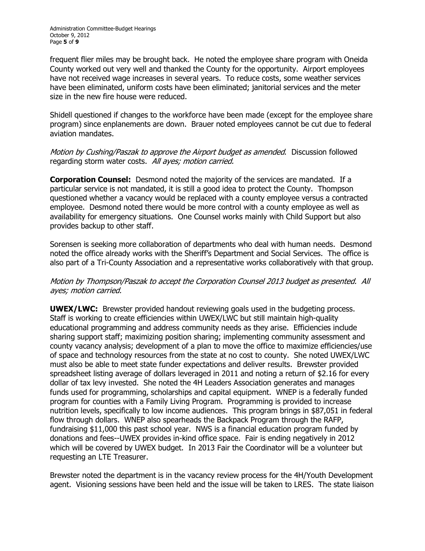frequent flier miles may be brought back. He noted the employee share program with Oneida County worked out very well and thanked the County for the opportunity. Airport employees have not received wage increases in several years. To reduce costs, some weather services have been eliminated, uniform costs have been eliminated; janitorial services and the meter size in the new fire house were reduced.

Shidell questioned if changes to the workforce have been made (except for the employee share program) since enplanements are down. Brauer noted employees cannot be cut due to federal aviation mandates.

Motion by Cushing/Paszak to approve the Airport budget as amended. Discussion followed regarding storm water costs. All ayes; motion carried.

**Corporation Counsel:** Desmond noted the majority of the services are mandated. If a particular service is not mandated, it is still a good idea to protect the County. Thompson questioned whether a vacancy would be replaced with a county employee versus a contracted employee. Desmond noted there would be more control with a county employee as well as availability for emergency situations. One Counsel works mainly with Child Support but also provides backup to other staff.

Sorensen is seeking more collaboration of departments who deal with human needs. Desmond noted the office already works with the Sheriff's Department and Social Services. The office is also part of a Tri-County Association and a representative works collaboratively with that group.

# Motion by Thompson/Paszak to accept the Corporation Counsel 2013 budget as presented. All ayes; motion carried.

**UWEX/LWC:** Brewster provided handout reviewing goals used in the budgeting process. Staff is working to create efficiencies within UWEX/LWC but still maintain high-quality educational programming and address community needs as they arise. Efficiencies include sharing support staff; maximizing position sharing; implementing community assessment and county vacancy analysis; development of a plan to move the office to maximize efficiencies/use of space and technology resources from the state at no cost to county. She noted UWEX/LWC must also be able to meet state funder expectations and deliver results. Brewster provided spreadsheet listing average of dollars leveraged in 2011 and noting a return of \$2.16 for every dollar of tax levy invested. She noted the 4H Leaders Association generates and manages funds used for programming, scholarships and capital equipment. WNEP is a federally funded program for counties with a Family Living Program. Programming is provided to increase nutrition levels, specifically to low income audiences. This program brings in \$87,051 in federal flow through dollars. WNEP also spearheads the Backpack Program through the RAFP, fundraising \$11,000 this past school year. NWS is a financial education program funded by donations and fees--UWEX provides in-kind office space. Fair is ending negatively in 2012 which will be covered by UWEX budget. In 2013 Fair the Coordinator will be a volunteer but requesting an LTE Treasurer.

Brewster noted the department is in the vacancy review process for the 4H/Youth Development agent. Visioning sessions have been held and the issue will be taken to LRES. The state liaison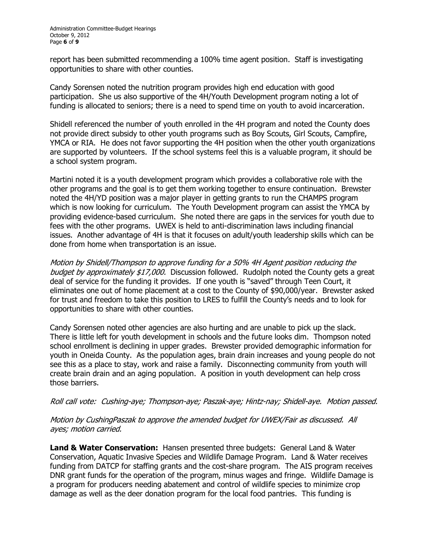report has been submitted recommending a 100% time agent position. Staff is investigating opportunities to share with other counties.

Candy Sorensen noted the nutrition program provides high end education with good participation. She us also supportive of the 4H/Youth Development program noting a lot of funding is allocated to seniors; there is a need to spend time on youth to avoid incarceration.

Shidell referenced the number of youth enrolled in the 4H program and noted the County does not provide direct subsidy to other youth programs such as Boy Scouts, Girl Scouts, Campfire, YMCA or RIA. He does not favor supporting the 4H position when the other youth organizations are supported by volunteers. If the school systems feel this is a valuable program, it should be a school system program.

Martini noted it is a youth development program which provides a collaborative role with the other programs and the goal is to get them working together to ensure continuation. Brewster noted the 4H/YD position was a major player in getting grants to run the CHAMPS program which is now looking for curriculum. The Youth Development program can assist the YMCA by providing evidence-based curriculum. She noted there are gaps in the services for youth due to fees with the other programs. UWEX is held to anti-discrimination laws including financial issues. Another advantage of 4H is that it focuses on adult/youth leadership skills which can be done from home when transportation is an issue.

Motion by Shidell/Thompson to approve funding for a 50% 4H Agent position reducing the budget by approximately \$17,000. Discussion followed. Rudolph noted the County gets a great deal of service for the funding it provides. If one youth is "saved" through Teen Court, it eliminates one out of home placement at a cost to the County of \$90,000/year. Brewster asked for trust and freedom to take this position to LRES to fulfill the County's needs and to look for opportunities to share with other counties.

Candy Sorensen noted other agencies are also hurting and are unable to pick up the slack. There is little left for youth development in schools and the future looks dim. Thompson noted school enrollment is declining in upper grades. Brewster provided demographic information for youth in Oneida County. As the population ages, brain drain increases and young people do not see this as a place to stay, work and raise a family. Disconnecting community from youth will create brain drain and an aging population. A position in youth development can help cross those barriers.

### Roll call vote: Cushing-aye; Thompson-aye; Paszak-aye; Hintz-nay; Shidell-aye. Motion passed.

# Motion by CushingPaszak to approve the amended budget for UWEX/Fair as discussed. All ayes; motion carried.

**Land & Water Conservation:** Hansen presented three budgets: General Land & Water Conservation, Aquatic Invasive Species and Wildlife Damage Program. Land & Water receives funding from DATCP for staffing grants and the cost-share program. The AIS program receives DNR grant funds for the operation of the program, minus wages and fringe. Wildlife Damage is a program for producers needing abatement and control of wildlife species to minimize crop damage as well as the deer donation program for the local food pantries. This funding is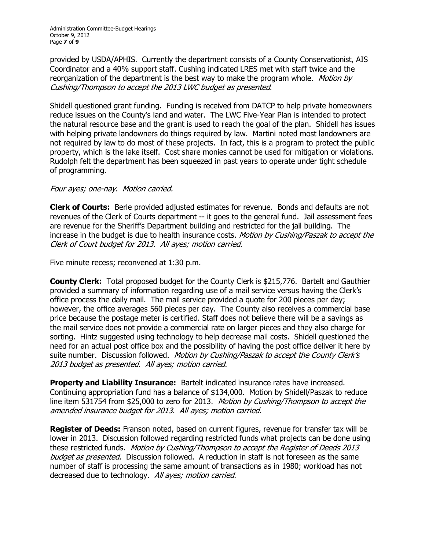provided by USDA/APHIS. Currently the department consists of a County Conservationist, AIS Coordinator and a 40% support staff. Cushing indicated LRES met with staff twice and the reorganization of the department is the best way to make the program whole. Motion by Cushing/Thompson to accept the 2013 LWC budget as presented.

Shidell questioned grant funding. Funding is received from DATCP to help private homeowners reduce issues on the County's land and water. The LWC Five-Year Plan is intended to protect the natural resource base and the grant is used to reach the goal of the plan. Shidell has issues with helping private landowners do things required by law. Martini noted most landowners are not required by law to do most of these projects. In fact, this is a program to protect the public property, which is the lake itself. Cost share monies cannot be used for mitigation or violations. Rudolph felt the department has been squeezed in past years to operate under tight schedule of programming.

# Four ayes; one-nay. Motion carried.

**Clerk of Courts:** Berle provided adjusted estimates for revenue. Bonds and defaults are not revenues of the Clerk of Courts department -- it goes to the general fund. Jail assessment fees are revenue for the Sheriff's Department building and restricted for the jail building. The increase in the budget is due to health insurance costs. Motion by Cushing/Paszak to accept the Clerk of Court budget for 2013. All ayes; motion carried.

Five minute recess; reconvened at 1:30 p.m.

**County Clerk:** Total proposed budget for the County Clerk is \$215,776. Bartelt and Gauthier provided a summary of information regarding use of a mail service versus having the Clerk's office process the daily mail. The mail service provided a quote for 200 pieces per day; however, the office averages 560 pieces per day. The County also receives a commercial base price because the postage meter is certified. Staff does not believe there will be a savings as the mail service does not provide a commercial rate on larger pieces and they also charge for sorting. Hintz suggested using technology to help decrease mail costs. Shidell questioned the need for an actual post office box and the possibility of having the post office deliver it here by suite number. Discussion followed. Motion by Cushing/Paszak to accept the County Clerk's 2013 budget as presented. All ayes; motion carried.

**Property and Liability Insurance:** Bartelt indicated insurance rates have increased. Continuing appropriation fund has a balance of \$134,000. Motion by Shidell/Paszak to reduce line item 531754 from \$25,000 to zero for 2013. Motion by Cushing/Thompson to accept the amended insurance budget for 2013. All ayes; motion carried.

**Register of Deeds:** Franson noted, based on current figures, revenue for transfer tax will be lower in 2013. Discussion followed regarding restricted funds what projects can be done using these restricted funds. Motion by Cushing/Thompson to accept the Register of Deeds 2013 budget as presented. Discussion followed. A reduction in staff is not foreseen as the same number of staff is processing the same amount of transactions as in 1980; workload has not decreased due to technology. All ayes; motion carried.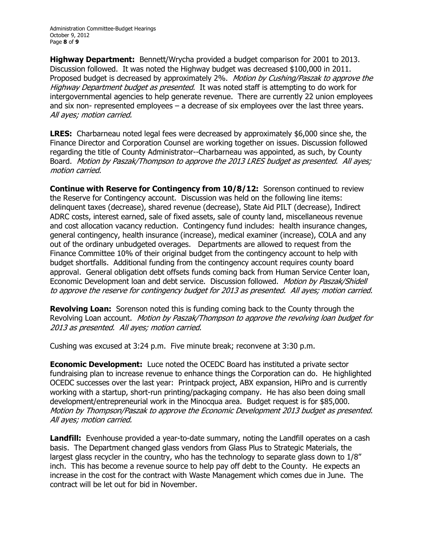**Highway Department:**  Bennett/Wrycha provided a budget comparison for 2001 to 2013. Discussion followed. It was noted the Highway budget was decreased \$100,000 in 2011. Proposed budget is decreased by approximately 2%. Motion by Cushing/Paszak to approve the Highway Department budget as presented. It was noted staff is attempting to do work for intergovernmental agencies to help generate revenue. There are currently 22 union employees and six non-represented employees  $-$  a decrease of six employees over the last three years. All ayes; motion carried.

**LRES:** Charbarneau noted legal fees were decreased by approximately \$6,000 since she, the Finance Director and Corporation Counsel are working together on issues. Discussion followed regarding the title of County Administrator--Charbarneau was appointed, as such, by County Board. Motion by Paszak/Thompson to approve the 2013 LRES budget as presented. All ayes; motion carried.

**Continue with Reserve for Contingency from 10/8/12:** Sorenson continued to review the Reserve for Contingency account. Discussion was held on the following line items: delinquent taxes (decrease), shared revenue (decrease), State Aid PILT (decrease), Indirect ADRC costs, interest earned, sale of fixed assets, sale of county land, miscellaneous revenue and cost allocation vacancy reduction. Contingency fund includes: health insurance changes, general contingency, health insurance (increase), medical examiner (increase), COLA and any out of the ordinary unbudgeted overages. Departments are allowed to request from the Finance Committee 10% of their original budget from the contingency account to help with budget shortfalls. Additional funding from the contingency account requires county board approval. General obligation debt offsets funds coming back from Human Service Center loan, Economic Development loan and debt service. Discussion followed. Motion by Paszak/Shidell to approve the reserve for contingency budget for 2013 as presented. All ayes; motion carried.

**Revolving Loan:** Sorenson noted this is funding coming back to the County through the Revolving Loan account. Motion by Paszak/Thompson to approve the revolving loan budget for 2013 as presented. All ayes; motion carried.

Cushing was excused at 3:24 p.m. Five minute break; reconvene at 3:30 p.m.

**Economic Development:** Luce noted the OCEDC Board has instituted a private sector fundraising plan to increase revenue to enhance things the Corporation can do. He highlighted OCEDC successes over the last year: Printpack project, ABX expansion, HiPro and is currently working with a startup, short-run printing/packaging company. He has also been doing small development/entrepreneurial work in the Minocqua area. Budget request is for \$85,000. Motion by Thompson/Paszak to approve the Economic Development 2013 budget as presented. All ayes; motion carried.

**Landfill:** Evenhouse provided a year-to-date summary, noting the Landfill operates on a cash basis. The Department changed glass vendors from Glass Plus to Strategic Materials, the largest glass recycler in the country, who has the technology to separate glass down to 1/8" inch. This has become a revenue source to help pay off debt to the County. He expects an increase in the cost for the contract with Waste Management which comes due in June. The contract will be let out for bid in November.